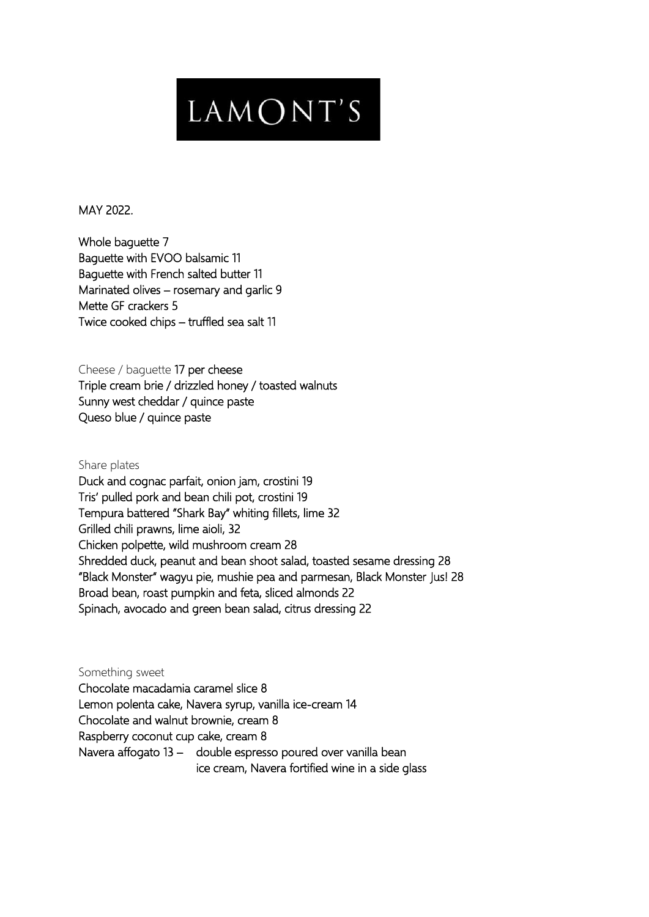## LAMONT'S

MAY 2022.

Whole baguette 7 Baguette with EVOO balsamic 11 Baguette with French salted butter 11 Marinated olives – rosemary and garlic 9 Mette GF crackers 5 Twice cooked chips – truffled sea salt 11

Cheese / baguette 17 per cheese

Triple cream brie / drizzled honey / toasted walnuts Sunny west cheddar / quince paste Queso blue / quince paste

Share plates

Duck and cognac parfait, onion jam, crostini 19 Tris' pulled pork and bean chili pot, crostini 19 Tempura battered "Shark Bay" whiting fillets, lime 32 Grilled chili prawns, lime aioli, 32 Chicken polpette, wild mushroom cream 28 Shredded duck, peanut and bean shoot salad, toasted sesame dressing 28 "Black Monster" wagyu pie, mushie pea and parmesan, Black Monster Jus! 28 Broad bean, roast pumpkin and feta, sliced almonds 22 Spinach, avocado and green bean salad, citrus dressing 22

Something sweet Chocolate macadamia caramel slice 8 Lemon polenta cake, Navera syrup, vanilla ice-cream 14 Chocolate and walnut brownie, cream 8 Raspberry coconut cup cake, cream 8 Navera affogato 13 – double espresso poured over vanilla bean ice cream, Navera fortified wine in a side glass